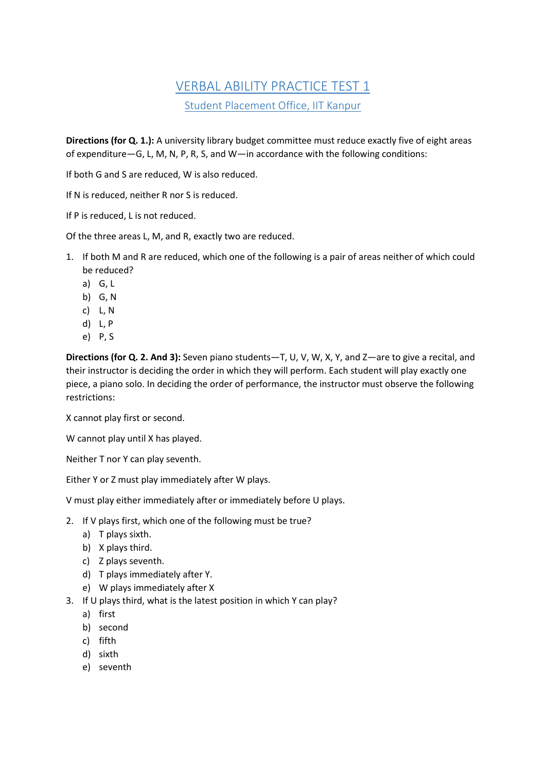# VERBAL ABILITY PRACTICE TEST 1 Student Placement Office, IIT Kanpur

**Directions (for Q. 1.):** A university library budget committee must reduce exactly five of eight areas of expenditure—G, L, M, N, P, R, S, and W—in accordance with the following conditions:

If both G and S are reduced, W is also reduced.

If N is reduced, neither R nor S is reduced.

If P is reduced, L is not reduced.

Of the three areas L, M, and R, exactly two are reduced.

- 1. If both M and R are reduced, which one of the following is a pair of areas neither of which could be reduced?
	- a) G, L
	- b) G, N
	- c) L, N
	- d) L, P
	- e) P, S

**Directions (for Q. 2. And 3):** Seven piano students—T, U, V, W, X, Y, and Z—are to give a recital, and their instructor is deciding the order in which they will perform. Each student will play exactly one piece, a piano solo. In deciding the order of performance, the instructor must observe the following restrictions:

X cannot play first or second.

W cannot play until X has played.

Neither T nor Y can play seventh.

Either Y or Z must play immediately after W plays.

V must play either immediately after or immediately before U plays.

- 2. If V plays first, which one of the following must be true?
	- a) T plays sixth.
	- b) X plays third.
	- c) Z plays seventh.
	- d) T plays immediately after Y.
	- e) W plays immediately after X
- 3. If U plays third, what is the latest position in which Y can play?
	- a) first
	- b) second
	- c) fifth
	- d) sixth
	- e) seventh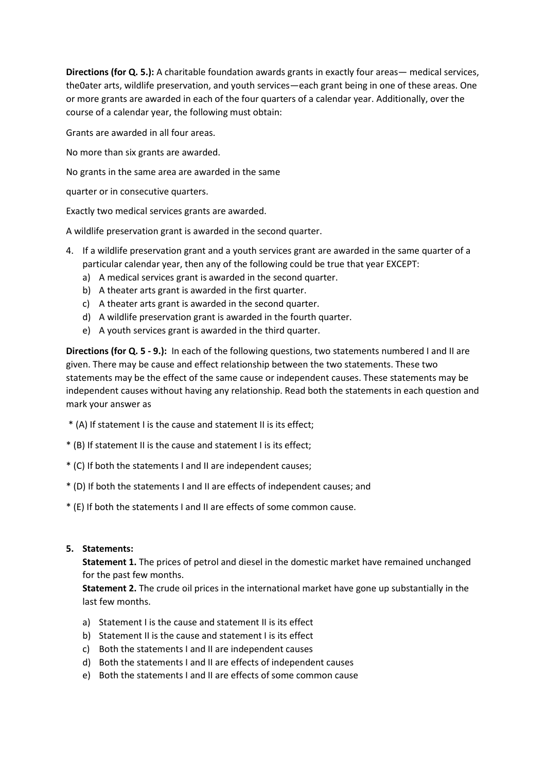**Directions (for Q. 5.):** A charitable foundation awards grants in exactly four areas— medical services, the0ater arts, wildlife preservation, and youth services—each grant being in one of these areas. One or more grants are awarded in each of the four quarters of a calendar year. Additionally, over the course of a calendar year, the following must obtain:

Grants are awarded in all four areas.

No more than six grants are awarded.

No grants in the same area are awarded in the same

quarter or in consecutive quarters.

Exactly two medical services grants are awarded.

A wildlife preservation grant is awarded in the second quarter.

- 4. If a wildlife preservation grant and a youth services grant are awarded in the same quarter of a particular calendar year, then any of the following could be true that year EXCEPT:
	- a) A medical services grant is awarded in the second quarter.
	- b) A theater arts grant is awarded in the first quarter.
	- c) A theater arts grant is awarded in the second quarter.
	- d) A wildlife preservation grant is awarded in the fourth quarter.
	- e) A youth services grant is awarded in the third quarter.

**Directions (for Q. 5 - 9.):** In each of the following questions, two statements numbered I and II are given. There may be cause and effect relationship between the two statements. These two statements may be the effect of the same cause or independent causes. These statements may be independent causes without having any relationship. Read both the statements in each question and mark your answer as

- \* (A) If statement I is the cause and statement II is its effect;
- \* (B) If statement II is the cause and statement I is its effect;
- \* (C) If both the statements I and II are independent causes;
- \* (D) If both the statements I and II are effects of independent causes; and
- \* (E) If both the statements I and II are effects of some common cause.

#### **5. Statements:**

**Statement 1.** The prices of petrol and diesel in the domestic market have remained unchanged for the past few months.

**Statement 2.** The crude oil prices in the international market have gone up substantially in the last few months.

- a) Statement I is the cause and statement II is its effect
- b) Statement II is the cause and statement I is its effect
- c) Both the statements I and II are independent causes
- d) Both the statements I and II are effects of independent causes
- e) Both the statements I and II are effects of some common cause